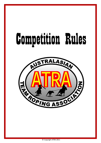# Competition Rules



© Copyright ATRA 2011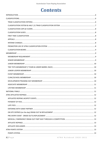# **Contents**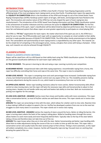# <span id="page-5-0"></span>**INTRODUCTION**

The Australasian Team Roping Association Inc (ATRA) is Asia Pacific's Premier Team Roping Organization and the affiliating body of the most prestigious team roping events across Asia Pacific. Providing team ropers the opportunity for **EQUALITY IN COMPETITION** which is the foundation of the ATRA and through its use of the United States Team Roping Championships (USTRC) Handicap system ropers of all ages, skill levels, and backgrounds have flocked to the sport. The innovative and creative nature of the ATRA has not only shaped the sport of team roping but also revolutionized it. The introduction of the USTRC based Team Roping Information and Data TRIAD classification system is the achievement of another milestone and thus continues the quest for **EQUALITY IN COMPETITION**. For the first time in the history of the sport, roper's classification will be determined by objective performance data. The result is a more fair and balanced system that allows ropers an even greater opportunity to participate on a level playing field.

The ATRA is a **"FIT ALL"** organization for team ropers. No matter what level of the sport you are in, the ATRA has a place for you to rope. The ATRA provides each roper with an opportunity to compete at a level suitable to their ability and that is made possible because of EQUALITY IN COMPETITION. The ATRA offers family entertainment at the highest level. The camaraderie and sportsmanship at team roping events is unparalleled by any other sport. The rewards can be the simple fact of competing or the extravagant prizes, money, and glory that comes with being a champion. Either way, such rewards can only be achieved through EQUALITY.

# <span id="page-5-1"></span>**CLASSIFICATIONS**

#### <span id="page-5-2"></span>**TRIAD CLASSIFICATION CRITERIA**

Ropers will be rated from a #1 to a #10 based on their ability level using the TRIAD classification system. The following are the general classification definitions for each team roper ability level.

**#1 TRUE BEGINNER** - This person is learning to ride and swing a rope. Learning is priority over competition.

**#2 BEGINNER NOVICE** - Inexperienced riders with little roping experience. Uncomfortable roping from a horse, this roper has difficulty controlling their horse and rope at the same time. This roper is new to competition.

**#3 MID LEVEL NOVICE** - This roper is competing more and catch percentages have increased. Comfortable roping from a horse, but limited horsemanship skills prevent control over any aspect of the run. This instability prevents making necessary adjustments during the course of a run, which leads to inconsistency from one run to the next.

**#4 UPPER-LEVEL NOVICE** - Better rope handling mechanics allow for more catches. Better horsemanship skills afford control on slow moving steers, but this roper still lacks the necessary rope skills and horsemanship to adjust to fast moving steers. Headers do not handle cattle very well and heelers lack ability to time feet. Both are inconsistent at putting runs together for the average.

**#5 LOW LEVEL AMATEUR - (HEADER)** Catches more than misses and handles cattle with more consistency. This roper rides a conservative barrier, so most of his/her catches are well down the arena. This roper stands out in novice class roping.

**(HEELER)** This roper can sense being in time with the steer, which allows for a better catch to miss ratio. Reaction time is slow making it difficult to adjust to speed in the run. He/She has developed a pattern from one run to the next but struggles to catch many steers in succession. This roper stands out in novice class roping.

**#6 MID LEVEL AMATEUR - (HEADER)** Catches the majority of steers around the horns. Better at riding the barrier, this roper is turning steers where the heart of the roping is taking place. Skilled at handling steers through the corner, allows heelers to catch more easily and more frequently behind them. Typically rides to the hip of the steer before taking a throw and therefore does not take time out of the run.

**(HEELER)** This roper knows when they are in time with the steer. Better horsemanship and better rope handling skills allow them to make adjustments during the course of the run in order to time up with the steer. This roper rides a conservative corner and usually tracks the steer several jumps to find a throw. Timing is more automatic, so this roper will seldom completely miss a steer, however, he/she will frequently rope one leg. Focused more on catching than dictating the speed of the run.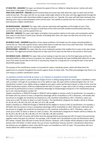**#7 SEMI PRO - (HEADER)** This roper can dictate the speed of the run. Skilled at riding the barrier, he/she will catch most steers in the upper 1/3 of the arena.

**HIGH LEVEL AMATEUR - (HEELER)** Sound horsemanship and sound rope skills allow this roper to catch most of their cattle by two feet. This roper sets the run up using a wide angle relative to the steer and rides aggressively through the corner. A solid catcher with intermittent ability to speed up the run. Typically, this roper will hold slack overhead, thus allowing more rope to extend between them and the steer. The inability to quickly shut the run down on a consistent basis prevents a higher classification.

**#8 PROFESSIONAL - (HEADER)** This roper rides a barrier extremely well regardless of the length of score. They consistently rope their steers on the gain (a stride back of the steer) and with excellent horsemanship skills they control both the steer and the speed of the run.

**SEMI PRO - (HEELER)** This roper rides higher and tighter horse position relative to the steer and consistently catches their steers on the third or fourth jump. Quicker at handling their slack, this roper can take time out of the run by dallying on a shorter rope.

**#9 WORLD CLASS - (HEADER)** Regardless of the roping conditions, this header has the unique calculated ability to control the run. They ride superior horses, which allow them to make the most of any steer they draw. This header generally ropes for a living and /or is among the best in the world.

**PROFESSIONAL - (HEELER)** This roper rides the corner looking for position that enables him to rope as the steer leaves the corner. This aggressive position allows him to rope most of his steers by two feet on the second or third jump.

**#10 WORLD CLASS - (HEELER)** This roper rides corner looking to rope the steer on the first legal jump and has the calculated ability to make up time on any given run. Superior horsemanship and rope handling skills allow him to rope most of his steers by two feet on the first or second jump. Ropes for a living and /or is among the best in the world. World NFR quality heeler.

The purpose of the classification system is to provide for ropers a handicap system, which will allow them the opportunity to compete throughout the country against those of similar skills. The ATRA acknowledges that there is no such thing as a perfect classification system.

# <span id="page-6-0"></span>**CLASSIFICATION SYSTEM & HALF (.5) TRIAD CLASSIFICATION SYSTEM**

The Classification system is used to limit the margin of error in setting roping divisions. Each roper is classified or rated with a number 1 through 10, according to his or her ability to rope. No roper will be numbered higher than 10. Your classification number is your ability rating as judged by your peers and/or performance based. In order to fine-tune the TRIAD Classification System, ATRA has implemented the half (.5) system. A roper with a half (.5) rating is someone who has proven by performance to have a competitive advantage (or disadvantage) among his or her classification group but is not a full classification number off.

Headers classified as a TRIAD #3 through to TRIAD #7 will be eligible to receive a half (.5) classification. For example, a #5 header who has proven to have a competitive advantage will be reclassified as a #5.5. Moreover, a #5 header who has proven to struggle, but would be too dominant as a #4, would be reclassified as a #4.5. Therefore, ropers can move up to a half (.5) status or down to a half (.5) status. The classification categories for Headers will be as follows: #1, #2, #3, #3.5, #4, #4.5, #5, #5.5, #6, #6.5, #7, #7.5, #8, and #9.

Heelers classified as a TRIAD #3 through to TRIAD #9 will be eligible to receive a half (.5) classification. For example, a #6 heeler who has proven to have a competitive advantage will be reclassified as a #6.5. Moreover a #6 heeler who has proven to struggle, but would be too dominant as a #5, would be reclassified as a #5.5. Therefore, ropers can move up to a half (.5) status or down to a half (.5) status. The classification categories for Heelers will be as follows: #1, #2, #3, #3.5, #4, #4.5, #5, #5.5, #6, #6.5, #7, #7.5, #8, #8.5, #9, #9.5 and #10.

The effect of the half (.5) system will further level the playing field by preventing two half (.5) ropers from partnering together unless they give up a division. For example, a #5.5 header won't be allowed to enter the #10 division with a #5.5 heeler. Instead, they will have to enter the #11 division. However, a #5.5 header will be allowed to enter the #10 division with a #5 heeler. In other words, the sum of your classification and your partner's classification determines the division you are eligible to enter unless BOTH ropers are classified as a half (.5) roper. This procedure will more closely define the calibre of each roping division.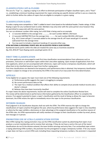#### <span id="page-7-0"></span>**CLASSIFICATION CAPS & FLOORS**

The use of a "Cap" i.e., capping a roping in an effort to eliminate participation of higher classified ropers, and a "Floor" i.e., establishing a minimum handicap requirement for ropers entering any specific division will be in use as a means by which to further define the calibre of ropers that are eligible to compete in a given roping.

#### <span id="page-7-1"></span>**CLASSIFICATION SLIDES**

To make a roping more competitive a "slide" is added to team'stime based on the individual header / heeler ratings. A Slide Roping is open for any numbered team to enter. Members may only enter with the same partner once however they are permitted to swap ends with the same partner.

You can run whatever number slide roping, but a #10 Slide is being used as an example

- 1.5 seconds ADDED to the average time ...............for each number ABOVE a #10 team
- 1.5 seconds SUBTRACTED from the average time .............for each number BELOW a #10 team (E.g., #11.5 team will get 1.5 seconds added to the average time & a #7 team would get 4.5 seconds subtracted from the average time)
- You may want to include a maximum handicap 4.5 seconds either way.

#### **ATRA NATIONAL & REGIONAL POINTS WILL BE ALLOCATED FROM A SLIDE ROPING**

Numbered events points within the slide are treated the same way as incentives would be (Eg. #13, #9 & #7 Team Roping events would get points 10-1)

#### <span id="page-7-2"></span>**FIRST TIME CLASSIFICATION**

First time applicants are encouraged to seek first time classification recommendations from references such as promoters, instructors or well-known ropers within their area when applying. Upon receipt of applications from firsttime applicants, which are not accompanied with references, ropers will receive a temporary classification, which will allow them to be classified based on input from his/her roping peers.

First-time classifications are deemed to be temporary until performance data is obtained. Any temporary classification number is subject to change or be corrected by the ATRA in the event of an inaccurate first-time determination.

#### <span id="page-7-3"></span>**APPEALS**

To be eligible for an appeal, the roper must meet one of the following requirements:

- a) Performance profile suggests the roper is struggling to compete.
- b) No current performance data on file.
- c) The roper has a medical condition that affects their ability to compete (must provide medical records and a doctor's release)
- d) Believes they have been incorrectly classified

If a roper meets the above requirements, he/she will need to complete the online Classification Review form. The review will be determined on performance information gathered by the Classification officer to complete the process. If an appeal is granted to lower a roper's classification and the result of doing so allows the roper to become dominant, the ATRA retains the right to immediately return the roper to the previous classification.

#### <span id="page-7-4"></span>**INTERIM CHANGES**

Final judgment in all classification disputes shall rest with the ATRA. The ATRA reserves the right to change the classifications of ropers anytime throughout the year, where by performance data suggests the roper is miss-classified, or where by the roper exhibits a dominance or clear advantage at the assigned classification or for punitive reasons of the ATRA rules. An ATRA representative will notify members of changes to their classification number by email, phone, text message or in person.

#### <span id="page-7-5"></span>**PROMOTERS USE OF ATRA CLASSIFICATION SYSTEM**

(Non-ATRA roping) Any roping promoters may use the ATRA classification system by advertising that ropers must produce a current membership card to receive their winnings. If they do not have a card or the sum of the teams' classifications do not fit the division entered, the team forfeits winnings and entry fees. If an unclassified roper enters a roping advertising ATRA numbers, the promoter has the prerogative to assign a temporary number. If for any reason a roper does not have a current ATRA card, including those requesting temporary numbers, the promoter is requested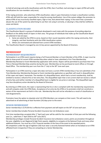to hold all winnings and verify classifications with the ATRA, then if verified, mail winnings to ropers (ATRA will verify classifications for non-members only once).

If the roping promoter, who advertises ATRA classification, takes it upon themselves to lower a classification number, ATRA will still hold the roper responsible for using the wrong classification. Use of the system obliges the promoter to advise ATRA of any incorrectly classified ropers, high or low, that attend their roping. In the event that a promoter abuses the use of the system by advertising its use then not using it correctly, or abusing it, they shall be notified to cease and desist.

#### <span id="page-8-0"></span>**CLASSIFICATION BOARD**

The Classification Board is a group of individuals developed in each state with the purpose of providing objective feedback on the ability levels of ropers in their area. The groups of individuals that make up the Classification Board are selected in two (2) ways:

- 1. Some are asked by the ATRA to serve, based on their sound reputation within the roping community, their integrity, and their familiarity with the ATRA classification system.
- 2. Others are nominated and selected from current ATRA members.

The Classification Board is managed by one (1) key person appointed by the Board of Directors.

# <span id="page-8-1"></span>**MEMBERSHIP**

#### <span id="page-8-2"></span>**MEMBERSHIP REQUIREMENT**

Participation in an ATRA event requires being a Full Financial Member or Event Member of the ATRA. A roper must be able to show proof of current ATRA membership when asked or have submitted a First Time Membership, Membership Renewal or Event Membership application with entries. Ropers will be permitted to purchase their First Time or Renewal Memberships anytime during the year. Membership can be purchased at event offices or through Head Office. The membership year runs from the  $1<sup>st</sup>$  July to the  $30<sup>th</sup>$  June each year.

Participation in an ATRA event by a roper who does not have a current ATRA membership or has not submitted a First Time Membership, Membership Renewal or Event membership application as specified, will result in disqualification of the roper and ropers' teammate. The member of a disqualified team, which had a current membership, shall be entitled to receive a refund of his or her entry fees. The disqualified roper that is not current shall not receive a refund of entry fees and neither member of a disqualified team is eligible for any prize or winnings. The disqualified roper may face disciplinary action decided by the Board of Directors.

By entering an ATRA event, the roper is representing that he or she is compliant with the membership requirements and will compete under the ATRA Rules. Acceptance of an entry by the ATRA or its promoters shall not constitute a waiver of the requirement set forth in this rule. Membership fees will not be refunded as a result of classification or rule disagreements.

Promoters have the option to stipulate only Full ATRA Members can compete at their event. This will need to be advertised on all advertising at least fourteen (14) days prior to the event.

#### <span id="page-8-3"></span>**SENIOR MEMBERSHIP**

Senior membership is \$176.00 this is effective from payment and will expire on the 30<sup>th</sup> of June each year.

Senior membership includes Personal Accident Insurance but not Ambulance cover.

First time memberships accepted after 1<sup>st</sup> April each year will be valid for the remainder of that year and the following year (i.e., valid from 1<sup>st</sup> April 2016 to 30<sup>th</sup> June 2017).

Membership privileges include Personal Accident Insurance (not ambulance cover), points accumulation throughout the year, eligibility to win Regional & High Point awards, eligibility to compete at the National Finals and many other additional features. You must be a FULL Financial member at the time of the event to be awarded points.

All competitors under the age of eighteen (18) must wear a securely fastened helmet when on horseback at an ATRA affiliated Event irrespective if they are competing on a Senior Membership.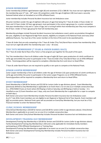#### <span id="page-9-0"></span>**JUNIOR MEMBERSHIP**

Junior membership (children aged between eight (8) and seventeen (17)) is \$88.00. You must not turn eighteen (18) in the membership year ( $1^{st}$  July –  $30^{th}$  June). All competitors under the age of eighteen (18) must wear a securely fastened helmet when on horseback at an ATRA affiliated Event.

Junior membership includes Personal Accident Insurance but not Ambulance cover.

All junior members (under the age of eighteen (18) years of age) that being the 7 Years & Under, 8 Years-Under 13 Years and 13 Years-Under 18 Years age groups), must participate in the correct age groups (i.e. a junior competitor that pays membership in July and is 7 years of age, but is turning 8 within that membership year they must compete in the 8 Years -Under 13 Years age group for that full membership year.

Membership privileges include Personal Accident Insurance (not ambulance cover), points accumulation throughout the year, eligibility to win Regional & High Point awards, eligibility to compete at the National Finals and many other additional features. You must be a FULL Junior member at the time of the event to be awarded points.

7 Years & Under that are only competing in the 7 Years & Under (Tiny Tots) Barrel Race receive free membership (they must not turn eight  $(8)$  within the membership year 1 July – 30 June).

#### <span id="page-9-1"></span>**TINY TOTS MEMBERSHIP (7 YEARS & UNDER BARREL RACE)**

The 7 Years & Under Barrel Race (Tiny Tots) is a free program put together for the youth of the sport.

Tiny Tots membership is free to all children under the age of eight (8) Years upon production of a birth certificate to verify age and entitles the junior to participate in the 7 Years & Under (Tiny Tots) Barrel Race run at ATRA Affiliated Events. Parents/guardians will be required to complete a Membership form and return to Head Office.

7 Years & under Barrel Racers are not required to qualify or win spots to compete at the National Finals.

#### <span id="page-9-2"></span>**JUNIOR LOOPER MEMBERSHIP**

Junior Looper membership is free to all children under the age of thirteen (13) upon production of a birth certificate to verify age and entitles the junior to participate in the Junior Looper Programs run at ATRA Affiliated Events. Parents/guardians will be required to complete a Membership form and return to Head Office.

#### <span id="page-9-3"></span>**EVENT MEMBERSHIP**

Event Membership is \$44.00 for Seniors and \$22.00 for Juniors (refer to age divisions above). Event Membership (previously defined as Day Membership) is applicable to an Event that is run on one (1) or multiple consecutive days (i.e., ATRA RANCH hosts an Event where #10 Roping is held on Saturday and #8 Roping is held on Sunday – it is classified as one (1) Event therefore over 2 days, only one Event Membership fee is applicable for a roper to compete on both days.)

Both Senior and Junior Event Membership includes Personal Accident Insurance but not Ambulance cover. As of 1<sup>st</sup> July 2016, Event members are not eligible to win Regional or National End of Year Awards. Event members will NOT accumulate points. National Finals spots will accumulate on Event/Day Membership, but you must be a FULL Financial member to enter the National Finals.

#### <span id="page-9-4"></span>**CLINIC/SCHOOL MEMBERSHIP**

Clinic/School Membership is \$20.00 for Seniors and \$10.00 for Juniors (refer to age divisions above). Clinic/School Membership is applicable to an event run on one (1) or multiple consecutive days. Both Senior and Junior Clinic/School Membership includes Personal Accident Insurance but not Ambulance cover.

#### <span id="page-9-5"></span>**DEVELOPMENT/TRAINING DAY MEMBERSHIP**

Development/Training Day Membership is \$20.00 for Seniors and \$10.00 for Juniors (refer to age divisions above). Family Development/Training Day Membership is \$50 and is only applicable for immediate family members participating at ATRA Affiliated Development or Training Days.

Development/Training Day Membership is applicable to an event run on one (1) or multiple consecutive days. Both Senior and Junior Development/Training Day Membership includes Personal Accident Insurance but not Ambulance cover.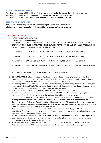#### <span id="page-10-0"></span>**ASSOCIATE MEMBERSHIP**

Associate membership is \$66.00 this is effective from payment and will expire on the 30th of June each year. Associate membership is a non-competing member and does not have the right to vote. Associate membership includes Personal Accident Insurance but not Ambulance cover.

#### <span id="page-10-1"></span>**LIFETIME MEMBERSHIP**

This one-time membership fee is available to those aged 70 years or older for \$150.00. Lifetime membership includes Personal Accident Insurance but not Ambulance cover.

#### <span id="page-10-2"></span>**NATIONAL FINALS**

1. NATIONAL FINALS QUALIFICATION

| <b>COMPETITORS THAT COMPETE AT.</b> |  |  |  |
|-------------------------------------|--|--|--|
|-------------------------------------|--|--|--|

1 x JACKPOT CAN ENTER THE FINALS 1 TIME IN; OPEN, #13, #11, #9, #7, #6 TEAM ROPING, LADIES BREAKAWAY ROPING, 3D BARREL RACE (HORSE QUALIFIES FOR THE FINALS), JUNIOR BARREL RACE (13-17 & 8- 12 years), JUNIOR BREAKAWAY ROPING (Under 18 years)

| 2 x JACKPOTS | CAN ENTER THE FINALS 2 TIMES IN: OPEN, #13, #11, #9, #7, #6 TEAM ROPING             |
|--------------|-------------------------------------------------------------------------------------|
| 3 x JACKPOTS | CAN ENTER THE FINALS 3 TIMES IN: OPEN, #13, #11, #9, #7, #6 TEAM ROPING             |
| 4 x JACKPOTS | CAN ENTER THE FINALS 4 TIMES IN: OPEN, #13, #11, #9, #7, #6 TEAM ROPING             |
| 5 x JACKPOTS | *FULL CARD* CAN ENTER THE FINALS 5 TIMES IN: OPEN, #13, #11, #9, #7, #6 TEAM ROPING |

Your total team classification must not exceed the numbered roping event.

- 2. **3D BARREL RACE:** The horse must compete at one or more jackpots to qualify to compete at the National Finals. The Rider does not have to qualify to compete in the 3D Barrel Racing at the finals so long as they are entering on a horse that has qualified throughout the season  $1$  July  $-$  30 June.
- 3. Junior competitors will compete at the National Finals in the age-group they competed in for the point's year relating to the National Finals. The age-group that they won their finals spots in even though they may have a birthday between the end of the point's season and the National Finals.
- 4. All Girls and Century Team Ropers DO NOT need to win spots to compete at the Finals.
- 5. Junior Looper and 7 Years & under Barrel Race competitors DO NOT need to win spots or qualify to compete at the National Finals. Entries will be taken at the National Finals office prior to the event.
- 6. Competitors can compete in the Preliminary Rounds of the National Finals without winning spots or qualifying to compete at the National Finals. Entries will be taken at the National Finals office prior to the event. Competitors of the Preliminary Rounds must be paid members of the ATRA or pay an Event Membership fee with their entry fees. Preliminary competitors that have not qualified for the finals will not be able to carry any shoot-out spots from the preliminary rounds into the finals.
- 7. National Finals entries must be received at Head Office accompanied with full payment by close of entries as stated in the finals pack for entries to be accepted. Any entry forms or payments received after close of entries will be returned to competitors as unaccepted.
- 8. All competitors at the ATRA National Finals must dally except any heeler fifty (50) years or older (regardless of classification number), women who tie-on (see tie-on rule) and any heeler twelve (12) years old or less who may only do so at the discretion of the Board of Directors.
- 9. The National Finals is a clean slate. Points awarded throughout the season do not carry through to the National Finals. High Point Champions are decided after the last jackpot is run in June each year.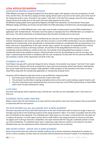# <span id="page-11-0"></span>**ATRA AFFILIATED ROPINGS**

# <span id="page-11-1"></span>**AFFILIATED ROPING JACKPOT EVENTS**

ATRA affiliates two types of roping throughout the Australasian region with regards to the entry procedures, On-Site Entry and Pre-Entry. On-Site Entry ropings are those ropings where ropers may enter at the event, prior to the start of the roping they wish to enter. Promoters may require "Cash Only" at On-Site Entry ropings. Some Pre-Entry ropings require entries to be made prior to the event and some allow payment at the event.

All affiliated roping jackpot events guarantee Regional and High Point allocations and Australasian Finals spots. Affiliated ropings will follow set formats and will reflect the ATRA philosophy of limited entry and leveraged payouts.

To participate in an ATRA affiliated event, each roper must be able to show proof of current ATRA membership or application with membership fee. Promoters have the option to stipulate only FULL ATRA Members can compete at their event. This will be advertised on all advertising at least fourteen (14) days prior to the event.

Ropers will be permitted to purchase their membership any time prior to the start of the roping in which they are entered. Participation in the event by a roper who does not have a current ATRA membership or has not submitted an application for membership, event membership or membership renewal of a membership that has expired prior to an event, will result in disqualification of the roper and the roper's partner. No member of a disqualified team shall be entitled to receive and prize or winnings, however, the member of the disqualified team that has a current membership shall be entitled to a refund of entry fee. The member of the disqualified team without a current membership shall not be entitled to receive a refund of his/her entry fee. By submitting an entry for an event, the roper is representing that he/she is compliance with this rule. Acceptance of entry form for this event by ATRA shall not constitute a waiver of the requirement set forth in this rule.

#### <span id="page-11-2"></span>**PAYMENT OF FEES**

Team Ropers may pay with a personal cheque for entry, however, the promoter may require "cash only" from ropers at certain events. Cheques will not be accepted from ropers that have previously written bad cheques. Membership fees can be made with personal cheques made payable to ATRA and given to the promoter of the event to mail to Head Office along with the membership application or membership renewals forms.

Promoters will be allowed to take late entries at any qualification roping provided:

- 1. Each team pays a \$10 late fee, for each time a team enters late.
- 2. The promoter has discretion in placing incomplete entries at the end to avoid creating a special rotation; and
- 3. The entry information and associated late fees must be turned over to the ATRA representative or Head Office within seven (7) days following the roping.

#### <span id="page-11-3"></span>**LATE FEES**

Any team entering late will be required to pay a \$10 late fee. Late fees are non-refundable, even in the event of a draw-out.

#### <span id="page-11-4"></span>**ENTERING WITH SAME PARTNER**

Ropers cannot enter the same division at an event with the same partner more than once however they are permitted to swap ends with the same partner.

#### <span id="page-11-5"></span>**ON SITE ENTRIES (on the day) DRAW-OUT & REPLACEMENT**

Any team may draw-out of any event with notice prior to the start of that event with no draw out charge. A draw-out message may be left on the answering machine at the roping promoter's office. If no notice is provided, then the entry fees are forfeited to the roping pot. If an individual team roper draws out, the roper's entered with him may draw out or replace the partner. If a team roper's partner fails to notify ATRA or the roping promoter of a draw-out and does not appear prior to first go-round of a competition, the roper entered with him may get a substitute partner or draw out of the competition. If a substitute team roper is replacing a roper who has a doctor or vet release or has been officially drawn out, the replacement will be required to pay entry fees, but no late fees.

#### <span id="page-11-6"></span>**PRE-ENTRY EVENT - DRAW-OUT & REPLACEMENT**

No pre-entry event draw-outs unless the member produces Vet or Doctors statement stating that the member or horse is unfit to compete, all other draw out entry fees will be forfeited and invoiced if unpaid. If an individual team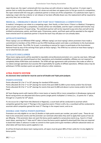roper draws out, the roper's entered with him may draw out with refund or replace the partner. If a team roper's partner fails to notify the promoters office of a draw-out and does not appear prior to first go-round of a competition, the roper entered with him may get a substitute partner or draw out of the competition. If a substitute team roper is replacing a roper who has a doctor or vet release or has been officially drawn out, the replacement will be required to pay entry fees, but no late fees.

## <span id="page-12-0"></span>**MEDICAL / EMERGENCY DRAW-OUT PART WAY THROUGH A COMPETITION**

A medical / emergency can relate to a competing roper, their family, or their horse. If there is a Medical / Emergency draw out part way through a competition, entries will be non-refundable, and the roper's entered with him/her may get a substitute partner of equal rating. The substitute partner will not be required to pay entry fees and will not be entitled to prizemoney, points, and finals spots. Prizemoney, points, and finals spots will be awarded to the original team entered and if no substitute partner is found the team may still place on runs already taken.

#### <span id="page-12-1"></span>**AFFILIATE ROPINGS**

These roping's are not Affiliated ATRA roping's. Affiliate roping's are local roping's where promoters have made a commitment to members of the ATRA to use the ATRA handicap system and make a contribution to the Australasian National Finals Funds. The ATRA, for its part, is providing an avenue for ropers to participate at the Australasian National Finals by way of the winning Finals spots at these roping's. The ATRA has no control on how these roping is run or what formats are used.

#### <span id="page-12-2"></span>**AFFILIATE DISCLAIMER**

These team-roping events will be awarded to reputable and professional promoters on a case-by-case basis. Although affiliate promoters are selected based on their reputations and scheduled availability, affiliates are not required to completely follow ATRA Rules and standards. The ATRA will sign agreements with promoters that make an effort to run above average operations but assumes NO responsibility for quality of affiliate operations. Affiliate status may be withdrawn if ATRA members point out specific ethical or other violations.

# <span id="page-12-3"></span>**ATRA POINTS SYSTEM**

*An electronic timer and barrier must be used at all Double and Triple point jackpots.*

#### <span id="page-12-4"></span>**POINTS SYSTEM**

Points allocated 10-1 for  $1<sup>st</sup>$  to  $10<sup>th</sup>$  placings for standard ATRA events.

Points allocated 20-2 for 1<sup>st</sup> to 10<sup>th</sup> placings for events that post \$500-\$1,000 in prize money and/or five (5) head. Points allocated 30-3 for 1<sup>st</sup> to 10<sup>th</sup> placings for events that post \$1,000 and above in prize money and/or ten (10) head.

All Team Roping events with twenty (20) or more teams or twenty (20) or more competitors in Breakaway roping and Barrel racing events are allocated extra bonus points (single points multiplied 1.5 times) (i.e., 15 points for 1<sup>st</sup> place, through to 1.5 points for  $10<sup>th</sup>$  place).

If a tie occurs for a High Point title (National or Regional), a count back will be conducted to ascertain which competitor gained the most  $1<sup>st</sup>$  Placings in the respective event; if there is still a tie, a countback will be conducted to ascertain which competitor gained the most  $2<sup>nd</sup>$  Placings in the respect event; and so on.

#### <span id="page-12-5"></span>**DOUBLE AND TRIPLE POINTS ROPINGS**

Promoters are only eligible to run two (2) double or triple points events per number, per point's year. These do not have to be consecutive events and the promoter can nominate what dates they wish to apply their quota of two (2) per #Roping. If the promoter does not want the bonus points applied to consecutive events (e.g., have 6 x 5 head event dates, wanting the 2<sup>nd</sup> date and 4<sup>th</sup> date to have the bonus points applied & advertised) then they are required to book their dates in advance in order to commit to their quota and to give members sufficient advanced notice on what dates will have bonus points applied or not.

At all five (5) head and above team roping events, all ropers must be given 80% of their cattle for it to be eligible for bonus points.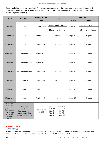Double and triple points are also eligible for breakaway roping, barrel racing, rope & tie or steer wrestling events if prize money is posted. \$500 or under \$999 1<sup>st</sup> to 10<sup>th</sup> place receives double points (20-2) and \$1000+ 1<sup>st</sup> to 10<sup>th</sup> place receives triple points (30-3).

| Head                                                                                                            |                                                                                                       | Points (1st-10th                  | <b>Spots</b>                                                                                                                          |               | Incentive              |
|-----------------------------------------------------------------------------------------------------------------|-------------------------------------------------------------------------------------------------------|-----------------------------------|---------------------------------------------------------------------------------------------------------------------------------------|---------------|------------------------|
|                                                                                                                 | <b>Prize Money</b>                                                                                    | place)                            |                                                                                                                                       | <b>Points</b> | <b>Spots</b>           |
| 4 and under                                                                                                     | \$0                                                                                                   | Single (10-1)                     | 14 and Under - 3 spots                                                                                                                | Single (10-1) | 14 and Under - 3 spots |
|                                                                                                                 |                                                                                                       |                                   | 15 and over - 5 spots                                                                                                                 |               | 15 and over - 5 spots  |
| 5 and over                                                                                                      | \$0                                                                                                   | Double (20-2)                     | 5 spots                                                                                                                               | Single (10-1) | 5 spots                |
| 10 and over                                                                                                     | \$0                                                                                                   | Triple (30-3)                     | Single (10-1)<br>10 spots                                                                                                             |               | 5 spots                |
| 4 and under                                                                                                     | \$500 or under \$999                                                                                  | Double (20-2)<br>5 spots          |                                                                                                                                       | Single (10-1) | 5 spots                |
| 5 and over                                                                                                      | \$500 or under \$999                                                                                  | Double (20-2)                     | 5 spots                                                                                                                               | Single (10-1) | 5 spots                |
| 10 and over                                                                                                     | \$500 or under \$999                                                                                  | Triple (30-3)                     | 10 spots                                                                                                                              | Single (10-1) | 5 spots                |
| 4 and under                                                                                                     | $$1000 +$                                                                                             | Triple (30-3)                     | 5 spots                                                                                                                               | Single (10-1) | 5 spots                |
| 5 and over                                                                                                      | $$1000 +$                                                                                             | Triple (30-3)                     | 5 spots                                                                                                                               | Single (10-1) | 5 spots                |
| 10 and over                                                                                                     | $$1000 +$                                                                                             | Triple (30-3)                     | 10 spots                                                                                                                              | Single (10-1) | 5 spots                |
| 20 or more<br>teams in a<br>single points<br>team roping<br>event (does<br>not include<br>incentive<br>ropings) | 20 or more<br>competitors in a<br>breakaway, barrel<br>racing, rope & tie or<br>steer wrestling event | <b>Bonus Points</b><br>$(15-1.5)$ | 2nd - 13.5<br>$1st - 15$<br>$3rd - 12$<br>4th - 10.5<br>$5th - 9$<br>6th - 7.5<br>$7th - 6$<br>8th - 4.5<br>$10th - 1.5$<br>$9th - 3$ |               |                        |

# <span id="page-13-0"></span>**PROMOTERS**

# <span id="page-13-1"></span>**AFFILIATION**

To become an ATRA Promoter you must complete an application and pay the annual affiliation fee. Affiliation is due annually and runs for twelve (12) months from the date paid. ATRA Affiliation includes.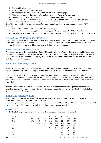- ➢ Public Liability Insurance
- ➢ Access to the full ATRA Classification list
- ➢ Advertising of your event on the ATRA Official Website & Facebook page
- $\triangleright$  All ATRA memberships (Full and Event membership) include Personal Accident Insurance
- ➢ National & Regional ATRA Points & National Finals Spots awarded from your event.

Access to the ATRA Public Liability Insurance is granted once you pay your Promoter Affiliation fee & provide details of your event. Certificate of Currencies will be forwarded to you via email the week prior to your event. The ATRA Public Liability Insurance covers the following events (providing all requirements are met for ATRA Affiliation).

- $\triangleright$  Roping Jackpot Event all events advertised on the program.
- ➢ School or Clinic Team Roping, Breakaway Roping, Barrel Racing, Rope & Tie & Steer Wrestling
- ➢ Development & Training days Team Roping, Breakaway Roping, Barrel Racing, Rope & Tie & Steer Wrestling

#### <span id="page-14-0"></span>**AFFILIATED ROPING JACKPOT EVENTS**

Promoters must forward a 'Notice to Run an Event Application' to Head Office at least fourteen (14) days prior to the event for it to be affiliated & advertised. All competitors must be either Full or Event members of the ATRA (this membership includes Personal Accident Insurance; ambulance cover not included).

#### <span id="page-14-1"></span>**DEVELOPMENT/TRAINING DAYS**

Promoters must forward a 'Notice to Run a School/Clinic or Development/Training Day' form to Head Office at least fourteen (14) days prior to the event for it to be affiliated & advertised. All Participants must be either a Full Member of the ATRA or pay Development/Training Day Membership (membership includes Personal Accident Insurance; ambulance cover not included).

#### <span id="page-14-2"></span>**APPROVED SCHOOLS/CLINICS**

All Instructors running approved Schools/Clinics in Victoria need to have completed and passed the ATRA online Animal Welfare course prior to running any schools or clinics. This course can be found on the ATRA website.

Promoters must forward a 'Notice to Run a School/Clinic or Development/Training Day' form to Head Office at least fourteen (14) days prior to the event for it to be affiliated & advertised. All Participants must be either a Full Member of the ATRA or pay Clinic/School Membership (membership includes Personal Accident Insurance; ambulance cover not included).

The Clinic must be delivered by ATRA endorsed Instructors with competent skills and experience in their chosen discipline. Both the Promoter and Instructor of the Clinic must successfully complete the "Affinity RideSafe Online Volunteers Induction" course.

#### <span id="page-14-3"></span>**ROPING ADVERTISING RULES**

Promoters must advertise their event on the ATRA website no less than fourteen (14) days prior to the date of the event for it to be deemed as points and spots eligible.

It is encouraged that any advertising of the event includes a minimum 60% add back of the entry fee. This is calculated by subtracting the ATRA levies then calculating the 60% to get the Added Back figure.

#### <span id="page-14-4"></span>**PAYOUTS**

1. The following percentages will be used for all ATRA payouts from June 2013 onwards.

| # Places |     | 3   | 4   | 5   | 6   | 8   | 10  | 12  |
|----------|-----|-----|-----|-----|-----|-----|-----|-----|
| 1st      | 60% | 50% | 40% | 36% | 33% | 30% | 24% | 24% |
| 2nd      | 40% | 30% | 30% | 24% | 22% | 19% | 15% | 15% |
| 3rd      |     | 20% | 20% | 19% | 17% | 13% | 12% | 12% |
| 4th      |     |     | 10% | 14% | 12% | 11% | 10% | 9%  |
| 5th      |     |     |     | 7%  | 9%  | 9%  | 9%  | 8%  |
| 6th      |     |     |     |     | 7%  | 8%  | 8%  | 7%  |
| 7th      |     |     |     |     |     | 6%  | 7%  | 6%  |
| 8th      |     |     |     |     |     | 4%  | 6%  | 5%  |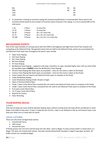| 9th  | 5% | 4% |
|------|----|----|
| 10th | 4% | 4% |
| 11th |    | 3% |
| 12th |    | 3% |

2. If a promoter is having an incentive roping the incentive payoff below is recommended. Places paid in the Incentive will be based on the number of Incentive teams entered in the roping. It is not to exceed 30% of the total purse.

| $1 - 10$  | 1 Place  | 1x entry fee                    |
|-----------|----------|---------------------------------|
| $11 - 25$ | 1 Places | 2x entry fee                    |
| 26-50     | 2 Places | 4x's, 3x's entry fee            |
| 51-75     | 3 Places | 4x's, 3x's 2x's entry fee       |
| 76-100    | 4 Places | 4x's, 3x's, 2x's 1x's entry fee |

# <span id="page-15-0"></span>**RECOGNISED EVENTS**

One of the major benefits of running events with the ATRA is the Regional and High Point End of Year Awards and competing at the National Finals. Recognised events that are held at the National Finals, points are accumulated for, and National Finals spots won throughout the point's year include.

- ➢ Open Team Roping
- $\triangleright$  #13 Team Roping
- $\geq$  #11 Team Roping
- $\triangleright$  #9 Team Roping
- $\triangleright$  #7 Team Roping
- $\triangleright$  #6 Machine Team Roping capped at a #3 roper, therefore no roper classified higher than a #3 can enter (Elite #3 classified ropers **CANNOT** enter the #6 Machine Team Roping)
- $\triangleright$  All Girls Team Roping (No finals spots accumulated entry for this event is taken at the finals)
- $\triangleright$  Century Team Roping (No finals spots accumulated entry for this event is taken at the finals)
- ➢ Junior Looper (Do not need to win National Finals spots to compete at the finals)
- ➢ Ladies Breakaway Roping
- $\triangleright$  Junior Breakaway Roping (Under 18 years of age)
- ➢ Open or Divisional Barrel Race
- ➢ Under 7 years Junior Barrel Race assisted (Do not need to win National Finals spots to compete at the finals)
- ➢ Under 7 years Junior Barrel Race unassisted (Do not need to win National Finals spots to compete at the finals)
- ➢ 8-12 years Junior Barrel Race
- $\geq$  13-17 years Junior Barrel Race
- ➢ Rope & Tie Contest
- ➢ Steer Wrestling

# <span id="page-15-1"></span>**TEAM ROPING RULES**

#### <span id="page-15-2"></span>**LOOPS**

Only two (2) loops per team shall be allowed. Roping steers without turning loose the loop will be considered no catch. Roper must dally to stop steer. If steer is roped by one (1) horn, roper is not allowed to ride up and remove loop or put loop over other horn or head with his hands.

# <span id="page-15-3"></span>**LEGAL CATCHES**

There are only three (3) legal head catches:

- 1. Around both horns.
- 2. Half a head.
- 3. Around the neck.

If Honda passes over one horn and the loop over the other, catch is illegal. If a loop crosses itself in a head catch, it is illegal. This does not include heel catches. Any heel catches behind both shoulders is legal if rope goes up heels. All bridle catches are considered illegal.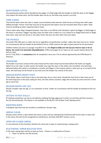#### <span id="page-16-0"></span>**QUESTIONED CATCH**

Any questioned catches will be decided by the judges. If a field judge tells the header to hold the steer so the flagger may inspect the head catch, and the header does not do so, the team may receive a no-time.

#### <span id="page-16-1"></span>**TIME TAKEN**

Time will be taken when the steer is roped, secure between both partners, both horses are facing steer with ropes dallied and tight. Horses' front feet must be on the ground and ropers must be mounted when time is taken. Steer must be standing up when roped by head or heels.

Time is taken when flag is dropped however, that time is not official until indication is given by flagger or field judge to the timer or secretary. Flagger may flag a team out after time is taken on a run, based on an illegal head catch or illegal heel catch, steer was not secure or any other factor that was not clear when time was taken.

#### <span id="page-16-2"></span>**TIE ON RULE**

Any heeler fifty (50) years or older may tie on regardless of classification number. Ladies who heel may tie on. Under no circumstances will any header be permitted to tie on. ATRA reserves the right to grant special tie-on permission.

Children twelve (12) years or younger may NOT tie on. *It is illegal to dally over the top of a tied-on rope or tie-on device, the result is an automatic disqualification.* ATRA encourages tie on ropers to use a quick release device for tied on ropes.

As of 1<sup>st</sup> July 2016, it is **compulsory** that all competitors must use a Tie-on device approved by the ATRA Board of Directors.

#### <span id="page-16-3"></span>**CROSSFIRE**

The header must have control of the steers head and the steers head must be bent before the heeler can legally deliver his or her rope. In other words, the heeler may rope the steer in the switch, but not before. Any heel loop delivered before the switch is considered a crossfire and illegal. In the instance where a steer sets up, at no fault of the roper, the heel loop can be thrown at any time once the header has control of the steer.

#### <span id="page-16-4"></span>**HEELER ROPES FRONT FOOT**

If the heeler ropes a front foot or feet in the heel loop, this is a foul catch. Should the front foot or feet come out of the heel loop prior to the team calling for time, the time will be counted. Judge will not allow any extra time for a front leg to come free.

#### <span id="page-16-5"></span>**HEADER ROPES ANY LEG**

Should a header rope any leg, it is an automatic no time. Under no circumstance will the header be allowed to fish out the leg.

#### <span id="page-16-6"></span>**OPTION TO NOT DALLY**

#7 heeling competitors can opt to not dally by notifying the flag judge prior to their run and they will then receive a five (5) second penalty. This option is not available in the #9 #11, #13 & Open Team Roping events.

#### <span id="page-16-7"></span>**DROPPED ROPE**

A dropped rope that must be recoiled is considered a thrown rope.

#### <span id="page-16-8"></span>**ARENA CLEAR**

Should a team call for a steer before the arena is clear and are subsequently interfered with by the steer or team still in the arena, this will not be recognized as interference, and they shall NOT receive a rerun.

#### <span id="page-16-9"></span>**OPEN OR CLOSED ARENA**

It is the decision of the Promoter whether the catch pen is open or closed during a roping event.

#### <span id="page-16-10"></span>**ELECTRONIC TIMER MALFUNCTION**

In the team roping there will be no back up timer. If there is a malfunction of timers:

1. Clean run will be nine (9) seconds.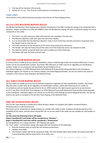- 2. One leg will be fourteen (14) seconds.
- 3. Option of a re-run. This must be confirmed prior to leaving the arena.

#### <span id="page-17-0"></span>**TIME LIMIT**

There will be a thirty (30) second plus penalties time limit for all Team Roping events.

# <span id="page-17-1"></span>**#6 (#3 CAP) MACHINE ROPING RULES**

The #6 (#3 Cap) Machine Team Roping event shall be introduced as the ONLY numbered roping to be conducted with a Machine. Ropers classified as an Elite #3 CANNOT enter the #6 Machine Roping. All other numbered roping's are to be conducted on live cattle.

- 1. The team's run will commence when both partners are standing in the box area.
- 2. The Machine Operator shall start upon the nod of the Header.
- 3. It is recommended that the Machine Operator stops in front of the box and will commence movement once the Header nods to start the run.
- 4. Time will commence at the discretion of the event setup (manual or electronic).
- 5. The Header will rope the head and pull the slack out of the head loop and is not required to dally.
- 6. The Machine will be turned off when the slack is pulled out of the head loop.
- 7. The Heeler will rope the heels and pull slack.

#### <span id="page-17-2"></span>**CENTURY TEAM ROPING RULES**

A Century team is made up of any two (2) competitors whose combined age totals one hundred (100) years or more. Teams can be any classification number. Any heeler fifty (50) years or older may tie on regardless of classification number. Under no circumstances will any header be permitted to tie on.

The Century Roping is an ATRA National Event with National & Finals buckles being awarded to the Champions. Individual regions can choose to run Century roping's and award Regional Buckles. You do not need to win spots to compete in the Century Team Roping at the National Finals.

#### <span id="page-17-3"></span>**ALL GIRLS TEAM ROPING RULES**

All Girls teams are made up of any two (2) female competitors regardless of their classification number. Any heeler fifty (50) years or older may tie on regardless of classification number. Ladies who heel may tie on. Under no circumstances will any header be permitted to tie on. ATRA reserves the right to grant special tie-on permission. As of 1st July 2016, the All-Girls Team Roping is an ATRA National Event with National & Finals buckles being awarded to the Champions. Individual regions can choose to run All Girls Team Roping and award Regional Buckles. You do not need to win spots to compete in the All-Girls Team Roping at the National Finals.

#### <span id="page-17-4"></span>**PRO AM TEAM ROPING RULES**

The Pro-Am Team Roping is introduced to allow Amateur Ropers to compete with higher numbered Ropers (Professionals) in a safe environment.

This event can be conducted on roping machine or suitable LIVE cattle or both. Emphasis should be placed on the suitability of the cattle, and this event should NOT be run on live cattle if the cattle are not suitable for a #3 header to handle.

**For this event the following criteria will apply.**

#### **Ropers classified #3.5 and Under will be considered an "Amateur"**

#### **Roper's Classified #4.5 and Over will be considered a "Professional"**

For the guidelines on a roping machine - #6's Roping rules apply.

- For "Live" cattle normal team roping rules apply with the exception of the following:
	- 1. Only the Amateur pays an entry fee and receives prizemoney.
	- 2. Headers must dally.
	- 3. The Amateur heeler will not be required to dally. The time shall be taken when heeler has pulled slack high. A 5 second penalty shall be enforced for all no-dally runs.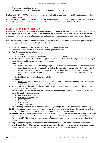- 4. Pro heelers must dally on heels.
- 5. No tie-on devices shall be allowed by either amateur or professional.

The Pro Am is NOT an ATRA Affiliated event, therefore only the \$3 levies are paid to Head Office the same as other non-affiliated events.

These are only Guidelines set for this event by the Board of Directors and can be changed by the Promoter to suit the region as long as the event is always run in a safe & fair manner in accordance with the ATRA Rule Book.

# <span id="page-18-0"></span>**JUNIOR LOOPER ROPING RULES**

The Junior Looper Program is a free program put together for the youth of the sport of team roping. The promoter of the roping will ensure to the best of their ability that the event is conducted fairly. Please comply with the requests and suggestions of the promoter of the event. Junior Looper parents are advised to watch, but not participate.

There are no National points tallied or National High Point awards for Junior Looper events nor do spots have to be won to compete in the Junior Looper at the National Finals.

- 1. Ropers will enter as a **TEAM**. A Team will consist of a Header and a Heeler.
- 2. Contestants with a classification of #2 or less are eligible to compete.
- 3. **Age Groups:** as of the day of the roping:
	- a. 7 years & Under
	- b. 8 years & Under 13 years (but not higher than a #2 classification)
- 4. **Go Rounds:** Juniors can enter up to three (3) times heading or heeling with different partners. Each team gets three (3) opportunities at making a catch on the dummy.
- 5. **Legal Catches:**
	- a. Head Catch: There will only be three (3) legal head catches: around the horns, half head or around the neck. Each roper has five (5) seconds from when the rope is thrown to complete the catch, or it will be considered a missed attempt. Fishing is only allowed from behind the roping line. Fishing is defined as not immediately pulling the slack after the throw of the rope. The judges' decision will be final.
	- b. Heel Catch: As per ATRA Team Roping Rules
- 6. **Illegal Catches:** 
	- a. Head Catch: A catch when the rope is not in contact with any part of the dummy head is considered an illegal head catch (i.e., roping the entire dummy).
- 7. **Tie Breaker:** Ties will be broken by the team with the most points. Any ties remaining after the points are considered, there will be a rope off.
- 8. **Points:** A record will be kept on each catch. Points will be added together from header and heeler over the three (3) rounds to decide a winner.
	- a. Horn Catch: two (2) points
	- b. Half Head Catch: one (1) point
	- c. Neck Catch: one (1) point
	- d. 2 Heels: two (2) points
	- e. 1 Heel: one (1) point
- 9. **Foul:** Stepping over or on the barrier line before the try is completed and will be considered a missed try.
- 10. **Disqualification:** A ropers name will be called three (3) times. If after three (3) calls the roper is not on the barrier line and ready to rope, he or she will be disqualified from the competition.
- 11. **Winner:** The team with the most points at the end of the competition will be declared the winners in each age group. In the case of tie break where teams are equal on points, they are to rope it off until one team wins by "sudden death". The header will take a step back from the line each time they take a shot until there is a winner.
- 12. **Regional Points:** Regional Points to be taken from the top five (5) teams and awarded five (5) points down the one (1) point. Regional Points should be kept by someone selected from the region. It is up to the promoter what they want to do with prizes or money but there will be no entry fee put on these events.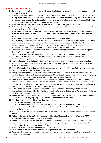# <span id="page-19-0"></span>**BARREL RACING RULES**

- 1. Competitors may go either to the right or left barrel first but must take one right and two left turns or one left and two right turns.
- 2. A contestant will be given a "no time" for knocking over a barrel. Touching a barrel, including to keep it from falling, is permitted without penalty. Competitors will be disqualified for not following the correct pattern (i.e. crosses their track during the run) or not being ready when name is called. A contestant is disqualified if they cross the start/finish line without completing the correct pattern.
- 3. A "no time" will also be given if a barrel is knocked over and it sets up again on either end.
- 4. A Contestant will be given a "no time" if the horse or rider falls during the run in such a manner as to break the pattern, or if the rider falls off the horse.
- 5. The starting and finishing line and the position for the barrels must be marked permanently for the entire event if it is run over more than one run. The horse's nose will be marked as it passed the score line both ways.
- 6. The starting and finishing line must be in line with the first and second drums.
- 7. Should for any reason the barrels not be placed on the markers or timers are not in correct position, the whole event must be re-run, with everything in order. Judges must make the decision that the barrels are not on correct markers at time of event before barrels are moved from position. Should this happen, competitors and judges should be notified, then judges and arena directors will set time for re-run.
- 8. Contestants must be able to ride unassisted from the timeline in the junior or open barrel races except for the Tiny Tots Under 7 lead event
- 9. Drums must be 44-gallon size (empty) and have at least one end enclosed. Closed end to be at top.
- 10. If a competitor desires to withdraw for any reason e.g., veterinary certificate the decision will be left to the discretion of the judges.
- 11. Any member of the association who does not follow the above rules is liable to a fine, suspension or both.
- 12. Timers are to be informed that clocks are not to be stopped until a girl has completed the course or in the event of an accident.
- 13. A five (5) second difference between clocks, competitors to have option of re-run. Only if a clear round is run.
- 14. Hats must be cleared from arena before next run.
- 15. Hitting horse around head or excessive use of whip and/or over and under in barrel race competition will result in disqualification for the duration of the competition. Ruled by judges. There will be no refund of entry fees. Further disciplinary action may be taken by the executive in the form of a fine.
- 16. More than two whips between barrels and four whips coming home or more than two contacts between barrels and four contacts coming home with an over and under will result in disqualification. To be ruled by judge. Once entered the arena box, two whips or contacts with an under and over action are allowed going to the first drum. Exceeding this will result in disqualification.
- 17. If the electric eye fails to work for more than one half of the contest in an entire go-round, the backup (manual) recorded times will be the official times for all contestants in that go round. When manual clocks are used the times should be to the hundredth of a second.
- 18. When the electric timers are in use in the ladies and junior barrel races, that 5 digits are to be written down on judges' sheet by timers/judges e.g., 17.312 not 17.31 (to the third decimal place).
- 19. A backup timer is optional. If there is a timer malfunction:
	- a. The backup timer shall prevail.
	- b. If there is no back up timer available, the competitor shall be entitled to a re-run.
- 20. One revolution, one roll back, tail turn is permitted to start a pattern. The time event box is not part of the arena in the barrel race.
- 21. Trade outs will only be deemed available if justified by both judges. Signatures of both judges to be on judges' sheets.
- 22. At Regional and Australasian Finals, the arena must be raked/dragged after fifteen (15) runs. All ATRA affiliated Barrel Races be encouraged to do the same.
- 23. Where a full course can be fitted in the arena it must be marked but not exceed maximum measurements. Record attempt – to record an official record, measurements, rules, equipment etc. must be checked and confirmed in order by both judges and/or officials.
- 24. Full course barrel racing measurements see APRA Rule Book.
- 25. No exhibition barrel races can be conducted during the team roping allocated time.
- 26. Junior barrel racers are only permitted one run in their barrel race age group and points are not cumulative as a horse and rider combination.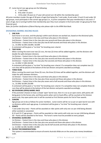- 27. Junior barrel race age group are the following:
	- a. 7 and Under
	- b. 8 & under 13 years
	- c. 13 & under 18 years (a 17-year-old cannot turn 18 within the membership year)

All junior members (under the age of 18 years of age) that being the 7 and under, 8 and under 13 and 13 and under 18 age groups, must participate in the correct age groups (i.e., A junior competitor that pays membership in July and is 7 years of age, but is turning 8 within that membership year they must compete in the 8 and under 13 age group for that financial year).

*Note: for further clarification of Barrel Racing rules please refer to the APRA Rule Book.*

#### <span id="page-20-0"></span>**DIVISIONAL BARREL RACING RULES**

#### 1. **ONE RUN**

Each horse is run once, and the placing's within each division are worked out, based on the divisional splits. 1st Division – Fastest time in the class and those who place in this division

2nd Division – Fastest time in the class plus one second and those who place in this division

3rd Division – Fastest time in the class plus two & half seconds and those who place in this division.

i.e., 15.599/ 16.599 /18.099 / 20.099

A contestant will be given a "no time" for knocking over a barrel.

#### 2. **TWO RUNS**

When running the event over two (2) runs, the two (2) times will be added together, and the divisions will double the splits between divisions.

1st Division – Fastest time in the class and those who place in this division

2nd Division – Fastest time in the class plus two second and those who place in this division

3rd Division – Fastest time in the class plus five seconds and those who place in this division.

#### i.e., 15.599/ 17.599 /20.599

A contestant will be given a "no time" for knocking over a barrel. If a competitor does not complete two (2) runs they will be placed at the bottom of the last division and points awarded accordingly.

#### 3. **THREE RUNS**

When running the event over three (3) runs, the three (3) times will be added together, and the divisions will triple the splits between divisions.

1st Division – Fastest time in the class and those who place in this division

2nd Division – Fastest time in the class plus three second and those who place in this division

3rd Division – Fastest time in the class plus seven and a half seconds and those who place in this division. i.e., 15.599/ 18.599 /26.099

A contestant will be given a "no time" for knocking over a barrel. If a competitor does not complete three (3) runs they will be placed at the bottom of the last division and points awarded accordingly.

#### 4. **NO DIVISIONS (OPEN) BARREL RACE**

If the promoter chooses to have a simple 'open' barrel race, then it is run as an open event, with points still being given to the horses only, and these points when sent to head office, will be counted as first division points only. Any open points sent in will be counted as First Division points for End of Year awards.

#### 5. **JUNIORS**

Age groups are to be as follows for junior members. Junior events will be run as per an open barrel race with no divisions within each age group. A contestant will be given a "no time" for knocking over a barrel.

#### 6. **POINTS**

7 and under (tiny tots) – Points will be awarded on rider points with only one run per child being allowed. either assisted or unassisted.

8-12 and 13-17 age groups – Points will be awarded on rider points with only one run per child being allowed. 3D – Points will be awarded to the horse. The horse's name must be provided at every jackpot.

#### 7. **DIVISIONAL GUIDELINES**

1st Division – Fastest time in the class and those who place in this division 2nd Division – Fastest time in the class plus one second and those who place in this division 3rd Division – Fastest time in the class plus two & half seconds and those who place in this division. i.e. 15.599/ 16.599 /18.099 / 20.099

#### 8. **PAYOUT RECOMMENDATIONS:**

This system is recommended to ensure all events Australia Wide are on the same prize money breakdown scale.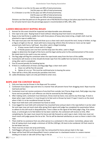If a 2 Division is run the 1st Div pays out 60% of total prizemoney

2nd Div pays our 40% of total prizemoney

If a 3 Division is run the 1st Div pays out 50% of total prizemoney

2nd Div pays out 30% of total prizemoney

3rd Div pays out 20% of total prizemoney

Divisions can then be paid out on the general rule of 40/30/20/10 as long as last place pays back the entry fee. For all Junior barrel races the percentage payout is recommended at 50%, 30%, 20%.

# <span id="page-21-0"></span>**LADIES BREAKAWAY ROPING RULES**

- 1. Animals for this event should be inspected and objectionable ones eliminated.
- 2. One rope to be used. Roping head of stock without releasing loop from hand is not permitted.
- 3. Ropes to be tied firmly to saddle horn with three pieces of heavy duty (Jute) string, a bright cloth must be attached to rope at saddle horn.
- 4. The rope must pass over the head and draw up as a clean neck catch around the neck, hump or brisket, no legs or figure of eight on the tail. Stock with horns measuring 125mm (five (5) inches) or more can be roped around neck, both horns, half head. Any other catch is illegal including:
	- a. If loop crosses itself in head catch it is illegal.
	- b. If Honda passes over one horn and the loop over the other, catch is illegal.

Judges to determine the length of the horns and the legal catches prior to the commencement of the event. No mixed stock to be used in any one contest.

- 5. The flag judge will flag the contestant when the rope breaks away from the horn of the saddle.
- 6. Contestants will receive no time should she break rope from the saddle horn by hand or by touching rope or string after catch is completed.
- 7. Five (5) second penalty for breaking barrier.
- 8. If there is a malfunction of timers and flag judge flags a clean neck catch:
	- a. Clean run will be five (5) seconds
	- b. Option of a re-run. This must be confirmed prior to leaving the arena
- 9. There will be a thirty (30) second plus penalties time limit.
- 10. Ladies Breakaway ropers are only permitted to enter once.

# <span id="page-21-1"></span>**ROPE AND TIE CONTEST RULES**

- 1. Only one loop may be thrown in the Rope and Tie contest.
- 2. Contestant must adjust rope and reins in a manner that will prevent horse from dragging stock. Rope must be tied hard and fast.
- 3. Contestant must not receive assistance of any kind from outside, but if horse drags stock, field judge may stop horse and any penalty for such offences can only be assessed by the field judge.
- 4. After making catch, contestant must dismount, throw stock by hand, cross and tie any three legs. If stock is down when roper reaches it, it must be got to its feet and re-thrown by hand. If roper's hand is on the stock when it falls it is to be considered thrown by hand.
- 5. Rope must hold stock until contestant has hand on stock.
- 6. Cross legged tie must hold until contestant has mounted horse and put slack in the rope before it can be ruled fair and roper may not touch stock after giving finish signal until judge has completed his examination failure to adhere to this will result in disqualification. Time is taken on the signal of the field judge's flag. If tie comes loose, or animal gets to its feet before tie has been ruled fair, the contestant will receive no time. After completing tie, the roper must mount his horse and ride forward so catch rope is slack. Untie men must not touch stock until judge passes the tie as fair. The tie will be deemed satisfactory as soon as there is slack in the rope.
- 7. There shall be no assistance from any other person to a contestant in this contest. Committee, please note that all roping stock must weigh a minimum of 220 lbs (100 kgs). All stock to be numbered. All fresh stock to be tied down and run.
- 8. There must be at least one wrap and hooey.
- 9. Field flaggers will pass on the tie once rider has remounted his horse and put slack in the rope.
- 10. Roper will be fined \$50 and disqualified if stock is jerked over in a backward motion in a severe manner landing on its back or side with all four legs in the air.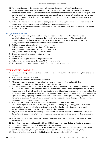- 11. An approved roping device must be used in all rope and tie events at ATRA affiliated events.
- 12. In rope and tie events there will be a minimum 10" barrier (3.050 metres) in open arenas. If the arena conditions are unsuitable, length of the barrier will be at the discretion of the event Promoter. An open catch pen shall apply in an open arena. An open arena shall be defined as an arena with minimum dimensions as follows: - 75 metres in length, 35 metres in width with a time event box with a minimum depth of 4.575 metres (15 feet).
- 13. In Team Roping and Rope & Tie events an open gate catch pen may apply in a one head contest however it should remain shut in a two headed and where an average pay out applies.
- 14. Rope and Tie and Breakaway Roping contestants must start the contest from behind the barrier on the righthand side of the box.

#### <span id="page-22-0"></span>**DISQUALIFICATIONS**

- 1. A roper who deliberately makes his horse drag the stock more than one metre after time is recorded or permits the horse to drag the stock more than 1 metre after time is recorded. The competitor will be disqualified and fined \$50 for the first offence, \$100 for the second, \$150 for the third and so on. All infringements must be notified to head office so fines can be collected.
- 2. Not having made catch and tie within the time limit allowed.
- 3. Failing to contest on suitable stock drawn for the contest.
- 4. Failing to contest when called by chute boss or arena director.
- 5. Roping cattle without releasing loop from the hand.
- 6. Cheating with stock, or position of stock in chutes.
- 7. Ill-treating stock.
- 8. Failure of cross-legged tie hold to judges satisfaction
- 9. Failure to use approved roping device at ATRA affiliated events
- 10. Touching calf after giving finish signal and before judge completes examination.

#### <span id="page-22-1"></span>**STEER WRESTLING RULES**

- 1. Steer must be caught from horse, if steer gets loose after being caught, contestant may only take one step to recapture it.
- 2. There is only one hazer permitted.
- 3. Contestant must furnish his own hazer and horses.
- 4. After catching steer, contestant must bring it to a stop or change direction and twist it down.
- 5. Hazer and contestant to start their run from behind the start line.
- 6. If a steer is accidentally knocked down or thrown before being brought to a stop, it must be let upon all four feet and twisted down by head or horns. Steer will be considered down when it is lying flat on the ground on its near side or back with all four legs straight. Contestant must have hand on steer when time is signalled. The fairness of the catch and throw will be left to the field judge and his decision shall be final. Time is taken on the signal of the field judge's flag. If contestant misses or loses steer, he must signal the field judge immediately if he wishes to continue. Contestant and hazer must use their respective horse throughout the run and hazer must not render the contestant any assistance.
- 7. There shall be no assistance from any other person to the contestant in the event.
- 8. Steer Wrestling stock must weigh in the vicinity of 400lbs to 500lbs (181kg to 227kg) and be as even as possible. Stock to have suitable horns and must be nine (9) inches in length. Steers only to be used.
- 9. Arena conditions will determine the length of score by the Promoter
- 10. Any fresh steers not thrown down during competition will be thrown down after completion of the go-round. Contestant will be responsible to throw down such steers under supervision of the arena director or event director.
- 11. Fresh steers added to steers which have already been used, must be steer wrestled from horseback and thrown down.
- 12. Steer Wrestling chute must have at least thirty (30) inch clearance inside chute and at gate, when gate is open.
- 13. Steer Wrestling hazers are to be ATRA members in good standing.
- 14. In steer wrestling events, the barrier is to be a minimum of half the length of the box except where arena conditions are suitable, the length of the barrier will be at the discretion of the Promoter/Judges.
- 15. All Steer Wrestlers must leave from behind the barrier on the left-hand side of the box.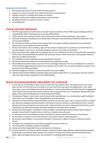#### <span id="page-23-0"></span>**DISQUALIFICATIONS**

- 1. Not having made catch and time within the limit allowed.
- 2. Assistance in any form by the hazer while contestant is wrestling steer.
- 3. Failing to contest on suitable stock drawn for contest.
- 4. Failing to contest when called by chute boss or arena director.
- 5. Cheating with steer or position of steer in chutes.
- 6. Ill-treating stock.

# <span id="page-23-1"></span>**STOCK CONTRACTOR RULES**

- 1. All ATRA approved Stock Contractors to be open financial members of the ATRA in good standing and have completed the Online training course as per the ATRA website.
- 2. Cattle used for team roping and other events shall not be used for steer wrestling or rope and tie.
- 3. Any Stock Contractor found guilty of mistreatment of livestock may be fined by the Board of Directors. Fine not to exceed \$500.00.
- 4. Any Timed Event Stock contractor who is barred from any approved Rodeo organisation across Australia would receive an automatic ban from the ATRA.
- 5. Timed event stock in steer wrestling, rope and tie and team roping events can only be run three times at a one-day jackpot, and at two or more days jackpots, only two runs a day are permitted.
- 6. Stock contractors who supply stock for jackpots that are not suitable for an event may be fined the equivalent of the entire committee/stock levy paid for the particular event in which stock were unacceptable. Board of Directors to make final decision.
- 7. The suitability of stock at jackpots must be decided by Promoter.
- 8. All contract timed event stock must be identified with numbered ear tags.
- 9. All portable timed event chutes must have V front and finger style gate. The vet in attendance at an event in Victoria shall be appointed by Promoter at the expense of Promoter. The vet will be required to report on the outcome to the ATRA Head Office.
- 10. Minimum weight for all stock in Victoria and South Australia is 200KG.
- 11. Individual State Animal Welfare Legislation takes precedence where there is a discrepancy with the industry rules. See links to State Legislation on the ATRA Website.

# <span id="page-23-2"></span>**RULES TO ENSURE HUMANE TREATMENT OF LIVESTOCK**

- 1. A neck rope on a contestant's horse must be used in the rope and tie event. The placement of such a neck rope must be in the vicinity from the head, to no more than half-way down the roping horse's neck. Neck rope, rope, reins, and training aids must be adjusted in a manner that will prevent the horse from dragging the stock. Rope to be removed from animal's body as soon as possible after 'tie' is completed. Roping stock shall weigh at least 220 lbs (100 kgs) each and be strong and healthy.
- 2. The placing of fingers in eyes, lips or nose of steers while wrestling steer, or unnecessarily rough handling of stock after time is forbidden. Fine or disqualification may be imposed.
- 3. Animals for all events will be inspected before the draw, and no sore, lame, sick, or injured animal, or animals with defective eyesight shall be permitted in the draw at any time. Should an animal become sick or injured between the time of inspection and prior to the commencement of an event, that animal shall not be used in competition. An official veterinarian should be available at all events where possible.
- 4. No animal shall be beaten, mutilated or cruelly prodded. Standard electric prods shall be used as little as possible. Animal shall be touched only on the hip or shoulder area with prod.
- 5. A conveyance must be available and used, if possible, to remove animals from arena in case of injury.
- 6. No stimulate or hypnotics to be used or given to any animal used for contest purposes.
- 7. No animal or pets allowed in arena where restraint is necessary or subject to injury or attack by another animal.
- 8. Livestock to be removed from arena after completion of each contest run.
- 9. Use of fireworks to frighten animals is prohibited.
- 10. Contestant will be disqualified for any mistreatment of livestock.
- 11. No stock should be confined in vehicles beyond a period of twenty-eight (28) hours without being unloaded, properly fed, and watered. When animals are carried in conveyances in which they do have proper food, water, space and opportunity to rest, the provision for unloading shall not apply.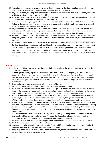- 12. Any animal that becomes excessively excited so that it gets down in the time event box repeatedly, or in any way appears to be in danger of injuring itself, should be released immediately.
- 13. Any ATRA member, including stock contractors, guilty of mistreatment of livestock may be fined by the Board of Directors with a fine not to exceed \$500.00.
- 14. The ATRA recognises the R.S.P.C.A., Animal Welfare Advisory Council and/or any Government body as the sole authorities for the humane treatment of animals in Australia.
- 15. In the rope & tie event, an approved roping device must be used by contestants at all ATRA affiliated events. Failure to do so could result in a \$2000 fine or twelve months jail or both. The only roping device to be used Ropers Mate Calf Roping Device (Part #8700544).
- 16. Any member who mistreats livestock at events will be fined \$100.00 on the first offence, \$300 on the second offence and \$600 plus 3 months suspension on the third offence. Each offence will remain on record for a 3 year period. The Board has the power to increase the fines and suspensions at their discretion.
- 17. Persons found guilty of twisting or bending the tail of timed event stock will be fined \$100 on the first offence. The penalty for repeat offenders will be determined by the Board of Directors and may include fines and/or suspension.
- 18. Timed event contractors are only permitted to use an electric prodder defined for use under relevant State or Territory Legislation. A prodder can only be utilised by the approved contractor/sub-contractor at each event who will be held responsible for any misuse. This relates to all handling of timed event stock at an event. Government regulations in each state must also be complied with. A first offence breach of this rule carries a fine of \$500 to the approved stock contractor. A second offence breach will be referred to the ATRA Board of Directors.

# <span id="page-24-0"></span>**LIVESTOCK**

- 1. If the steer is visibly injured as the run begins, including broken horn, the team must declare themselves by pulling up immediately.
- 2. If in the opinion of the judge a non-visible broken horn existed prior to the beginning of a run, he has the option to declare a rerun. However, no rerun shall be awarded where clearly the broken horn was caused by the run itself, or if the judge suspects the broken horn occurred during the run. If run is completed and time taken, even though a broken horn is clearly visible, time shall stand, and field judge will remove that animal from the draw.
- 3. Team roping cattle horn length to be a minimum of six (6) inches.
- 4. Pen should be even and uniform and fall within state animal welfare guidelines.
- 5. ATRA, or ATRA official(s) or representatives, reserve the right to withdraw any steer from the herd at any time. Head duckers, draggers, stoppers, eliminators, unusually slow cattle and cattle that turn back into the corners shall be pulled from the herd immediately as they surface during the ATRA qualification roping.
- 6. Removal from draw does not result in a rerun for the team roping a steer removed from the herd. However, a rerun may be awarded if in the opinion of the promoter supported by the opinion of the field judge and/or officials working the roping, that a steer in question did not afford a team the opportunity to compete.
- 7. The promoter prior to the first event will inspect Steers. No sore, lame, sick or injured animals or animals with defective eyesight shall be permitted in the draw at any time. Should an animal become sick or crippled during the course of the roping, that animal shall be removed from the competition immediately. Animals removed from the arena pursuant to this section shall be placed in a situation as isolated and comfortable as possible to reduce stress.
- 8. If an ATRA roper excessively abuses an animal by any unnecessary non-competitive or competitive action, he shall be disqualified and forfeit all entry fees. The judge shall immediately inform the announcer that the contestant has been disqualified due to the unnecessary roughness of livestock.
- 9. All Steers will have horn wraps, which offer protection for both the steer's ears, and the base of the horns.
- 10. ATRA strongly discourage the use of 3/8 scant ropes.
- 11. Any contestant who fails to heed an initial warning from a field flagger that he is mistreating an animal will forfeit his entry fees in all divisions for the reminder of that event.
- 12. Judge may stop a run at any time he observes an injured animal, to remove that animal from competition, this action will result in a rerun for contestants.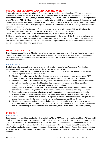## <span id="page-25-0"></span>**CONDUCT RESTRICTIONS AND DISCIPLINARY ACTION**

Any member may be subject to reprimand, fine, suspension or expulsion, by action of the ATRA Board of Directors. Writing a bad cheque made payable to the ATRA., an event secretary, stock contractor, or event committee in conjunction with an ATRA event, or any such cheque to any business establishment in the town of and during the time of an ATRA event. ACTION: A fine of \$25 per cheque, plus a bond of \$200 to be held, for one year. If three or more bad cheques passed in one year, bond is forfeited. A returned cheque received in the ATRA office will mean ineligibility to enter any ATRA approved event. To regain eligibility, the face value of the cheque, the bank charge, and the fine and bond must be paid in full.

Failure to reimburse the ATRA Promoter of the event for overpayment of prize money. ACTION: Member to be notified in writing and allowed twenty-eight days to pay. Fine to be \$25 plus overpayment.

Failure of a contract member to fulfil his or her contract obligations. ACTION A fine of \$100.

Stallions will be allowed to be unrestrained in panel yards through daylight hours ONLY. Only 1 horse is allowed per enclosure. Stallions must be double tied at night. Panels must be a minimum of 1500mm in height. Panels must be constructed using an equivalent of 4 bars of 25mm box or pipe equivalent as a minimum. Panels must be anchored securely to a solid object i.e., truck, post or tree.

#### <span id="page-25-1"></span>**SOCIAL MEDIA POLICY**

This policy provides guidance for Members use of social media, which should be broadly understood for purposes of this policy to include blogs, wikis, microblogs, message boards, chat rooms, electronic newsletters, online forums, social networking sites, and other sites and services that permit users to share information with others in a contemporaneous manner.

#### <span id="page-25-2"></span>**PROCEDURES**

The following principles apply to professional use of social media on behalf of the Australasian Team Roping Association as well as personal use of social media when referencing the ATRA.

- 1. Members need to know and adhere to the [ATRA Code of Conduct practises, and other company policies] when using social media in reference to the ATRA.
- 2. Members should be aware of the effect that their actions may have on their images, as well as the ATRA's image. The information that members post or publish may be public information for a long time.
- 3. Members should be aware that the ATRA may observe content and information made available by members through social media. Members should use their best judgement in posting material that is neither inappropriate nor harmful to the ATRA and its employees, or members.
- 4. Although not an exclusive list, some specific examples of prohibited social media conduct include posting commentary, content, or images that are defamatory, pornographic, proprietary, harassing or libellous.
- 5. Social media networks, blogs and other types of online content sometimes generate press and media attention of legal questions. Members should refer these enquiries to authorised ATRA spokespersons.
- 6. If members find or encounter a situation while using social media that threatens to become antagonistic, they should disengage from the dialogue in a polite manner and seek the advice of Head Office.
- 7. Members should get appropriate permission before referring to or posting images of current or former employees, members, vendors, or suppliers. Additionally, members should get appropriate permission to use a third party's copyrights, copyrighted material, trademarks, service marks or other intellectual property.

#### <span id="page-25-4"></span><span id="page-25-3"></span>**OFFENCES BAD DEBTS**

Bad cheques made payable or declined credit cards to the ATRA or ATRA promoters holding an official ATRA event will result in immediate ineligibility. A collection fee will be charged for each returned cheque, a cheque or credit card that goes uncollected beyond six (6) months will pay \$50 per year collection fee or double the amount of the cheque, whichever is the least. Non-payment shall result in punitive action, which may include ineligibility to compete, classifications number increase, awarded finals spots being voided and/or legal action. Ropers that have competed on entry fees paid with a bad cheque or declined credit card are responsible for the debt, regardless of who made the payment.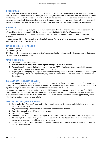#### <span id="page-26-0"></span>**DRESS CODE**

Ropers must wear a cowboy hat or no hat. Caps are not permitted nor are they permitted to be tied on or attached in any way during the course of the run. Cowboy attire required, which includes shirts with a sewn-on collar full buttoned front styling, with short or long sleeves (sleeveless shirts are not permitted) and cowboy boots or approved laced cowboy shoe with a heel. Unless a medical exemption is made, heeled or any type tennis shoes will not be permitted. Failure to observe dress code will result in a no-time on any steer qualified. This ruling applies to all competitors.

#### <span id="page-26-1"></span>**HELMETS**

All competitors under the age of eighteen (18) must wear a securely fastened helmet when on horseback at an ATRA affiliated Event. Failure to comply with the helmet rule results in DISQUALIFICATION from the event. If this offense is undetected at the event but proven true and correct all money, finals spots and points will be forfeited.

It is the responsibility of the competitor to adhere to the rules. Failure to refund prizemoney won to the ATRA office will result in suspension from the ATRA.

#### <span id="page-26-2"></span>**FINE FOR BREACH OF RULES**

1 ST Offence - \$50 Fine

2<sup>nd</sup> Offence - \$100 Fine

3<sup>rd</sup> Offence – All points/spots (team roping partner's spots) deleted for that roping. All prizemoney won at that roping to be refunded to ATRA Head Office.

#### <span id="page-26-3"></span>**MAJOR OFFENCES**

- 1. Quarrelling or fighting in the arena.
- 2. Mistreatment of livestock, misrepresenting or falsifying a classification number.
- 3. Attempting to fix, threaten, bribe, influence or harass any ATRA official at any time, in or out of the arena, or talking with a judge at a time when an event is in progress.
- 4. Engaging in, or attempting to engage in, and action threatening, berating, harassing, intimidating, assaulting or striking a roping official, a roping spectator, any official representative or employee of the ATRA or any ATRA Contestant.

#### <span id="page-26-4"></span>**PENALTY FOR MAJOR OFFENCES**

Ropers attempting to fix, threaten, bribe, influence or harass any ATRA official at any time, in or out of the arena, or talking with a judge or timer while an event is in progress will automatically be disqualified, forfeit entry fees, and face a potential disqualification from future events at the discretion of the ATRA Board.

If a roper uses any excuse to enter a roping advertising ATRA numbers, at a number lower than their official ATRA classification, and this dishonesty results in winning a cheque, upon verification, the ATRA will immediately add one number to that individual's official classification for a period of not less than one year. This also applies to any roper falsifying information on another roper's behalf.

#### <span id="page-26-5"></span>**CONTESTANT DISQUALIFICATION**

- 1. Being under the influence of liquor and/or illicit drugs in the arena & Consuming alcoholic beverages and/or illicit drugs in the arena.
- 2. Any roper not acting in a sportsmanlike, reasonable, or professional manner.
- 3. Rowdyism, quarrelling or fighting within the arena.
- 4. Mistreatment of stock.
- 5. Not being ready to compete when called upon, E.g. Horse becomes excessively uncontrollable in roping box.
- 6. Attempting to fix, threaten, bribe, influence or harass any ATRA official at any time, in or out of the arena, or talking with a judge or timer while an event is in progress.
- 7. Competitors under the age of eighteen (18) who fail to wear a securely fastened helmet while on horseback at an ATRA affiliated Event.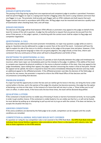# <span id="page-27-1"></span><span id="page-27-0"></span>**JUDGING JUDGES PARTICIPATION**

The passing of the flag during roping from one experienced and competent judge to another is permitted. Promoters shall not permit flaggers to rope in a roping event he/she is flagging unless the event is using rotations and more than one flagger is in use. The promoter shall provide each flagger with an ATRA rulebook and shall require that each flagger conduct the event in accordance with ATRA rules. All flag judges must be mounted and exercise a quality level of examination when checking head, heel, and calf loops.

#### <span id="page-27-2"></span>**JUDGES DECISION**

The decision of the judge will be final however ATRA officials or promoters may appeal to the judge on behalf of the team for review of the call-in question. A judge has the authority to request that any person be excused from the arena if that person, in the judge's opinion, is interfering with the contest event shall be subject to flag judge and competitor negotiation.

#### <span id="page-27-3"></span>**QUESTIONING A CALL**

Questions may be addressed to the event promoter immediately; no roper may question a judge while an event is going on. Questions may be addressed to a judge no sooner than at the end of the event. Contestant will have the right to explain his side of the story or to clarify a situation to the judge at the proper time and place. However, if the contestant is using abusive language or does not use good judgment, the judge should, at that time, inform said contestant that any continuance of that action will lead to disqualification and forfeit of fees.

#### <span id="page-27-4"></span>**EXCEPTIONS TO QUESTIONING A CALL**

Should communication concerning the issuance of a penalty or lack of penalty between the judge and timekeeper be incorrect, either team roper can immediately point out the mistake to the judge. In addition, if the ability of the team to compete was impaired by physical conditions in the arena or physical condition of the steer, they may appeal to the judge immediately. Upon making their appeal, the judges' decision concerning the matter is final at that point. Should the appeal not be upheld, the team is required to leave the arena immediately following the decision and may make an additional appeal to the affiliated promoter. If the affiliated promoter overrides the decision of the field judge, at any time for any reason, the promoter is required to inform the ATRA Head Office of that decision and the circumstances surrounding that decision.

#### <span id="page-27-5"></span>**PROBLEM HORSES**

If a roper has had the opportunity to enter the box and can neither get his horse in the box, nor bring this horse under control while in the box, and in the opinion of the judge this situation has become excessive, the judge has the option of declaring a no time on that steer. In the instance of a horse that will not stay in a box, a "three strikes you're out" rule is in effect. In other words, if the horse exits the box three times, the team will be declared disqualified.

#### <span id="page-27-6"></span>**QUALIFYING A STEER**

If the contestant is fouled and has no visible way of knowing if chutes or barriers functioned correctly, he must qualify in order to get another chance. If the contestant is visibly fouled or he can visibly see that he is, or will not be fouled, he must declare by pulling up or attempting to pull up and not try to go on with the contest. If he does not declare, he accepts the situation the way it is.

#### <span id="page-27-7"></span>**GROUND CONDITIONS**

If the arena conditions are deemed by the field judge to be unsafe, competition can be stopped until the unsafe conditions are remedied.

#### <span id="page-27-8"></span>**COMPETITION & ANIMAL WELFARE RULES NOT COVERED**

If a question on ruling for any competition rules is not covered in the ATRA Rule Book, the APRA Rule Book shall apply. Individual State Animal Welfare Legislation takes precedence where there is a discrepancy with industry rules. See links to State Legislation on the ATRA website.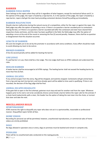#### <span id="page-28-1"></span><span id="page-28-0"></span>**BARRIER BARRIER FOULS ROPER**

Steer belongs to the ropers when they call for it regardless of what happens, except for mechanical failure and if, in the opinion of the judge, the roper is fouled by a rope barrier, If, in the opinion of the judge, the roper is fouled by a rope barrier, ropers shall get the steer back providing contestant declares himself by pulling up immediately.

#### <span id="page-28-2"></span>**BARRIER MALFUNCTION**

Should a barrier malfunction during the natural course of a competition, either for the roper or against the roper, the field judge may offer the option of awarding a rerun. If there is no question a barrier sounded prior to contestants leaving the box, or if there is no question a barrier sounded well after the contestant and steer have cleared their respective chutes and lanes, and the steer has been qualified in the field, the field judge may offer the option of awarding a rerun at the end of the round or removing the five (5) second penalty. However, there shall be no question or disagreement that this situation occurred.

#### <span id="page-28-3"></span>**LENGTH OF BARRIER**

All score line lengths are to be set by the promoter in accordance with arena conditions. Every effort should be made to avoid allowing any team to be outrun.

#### <span id="page-28-4"></span>**BROKEN BARRIER**

A five (5)-second penalty will be added for beating the barrier.

#### <span id="page-28-5"></span>**LINE JUDGE**

If a pull barrier is in use, there shall be a line Judge. The Line Judge shall have an ATRA rulebook and understand the rules.

#### <span id="page-28-6"></span>**HEELER BARRIER**

A heeler barrier shall be encouraged at all ATRA ropings. The heeling barrier shall not exceed the heading barrier by more than five (5) feet.

#### <span id="page-28-7"></span>**ANIMAL ESCAPES**

If any animal escapes from the arena, flag will be dropped, and watches stopped. Contestants will get animal back from a lap-and-tap start (no-barrier), and time already spent will be added to time used in qualifying. If time is not recorded, the decision of the flag judge shall be final.

#### <span id="page-28-8"></span>**ANIMAL ESCAPES HEADGATE**

If the gate fails to open in the first attempt, gateman must stop and wait for another nod from the roper. Whatever happens prior to his nod is not to be considered, (horse cannot break a barrier before the roper calls for the animal). If a chute hand inadvertently spills a steer, the header has the option of taking the next steer into the chute, or turnout that steer and take the next.

# <span id="page-28-9"></span>**MISCELLANEOUS RULES**

#### <span id="page-28-10"></span>**SPORTSMANSHIP**

ATRA reserves the right to disqualify any roper who does not act in a sportsmanlike, reasonable or professional manner. Disqualified ropers forfeit all fees.

#### <span id="page-28-11"></span>**HOME VIDEOS**

Recording for personal use will be permitted, however, unauthorized reproductions, or commercial sales of home videos are strictly prohibited.

#### <span id="page-28-12"></span>**DOGS**

No dogs allowed in spectator area or arena, dogs on premises must be leashed and remain in campsite only.

#### <span id="page-28-13"></span>**PEDDLERS**

There will be no unauthorized sales conducted on the roping grounds.